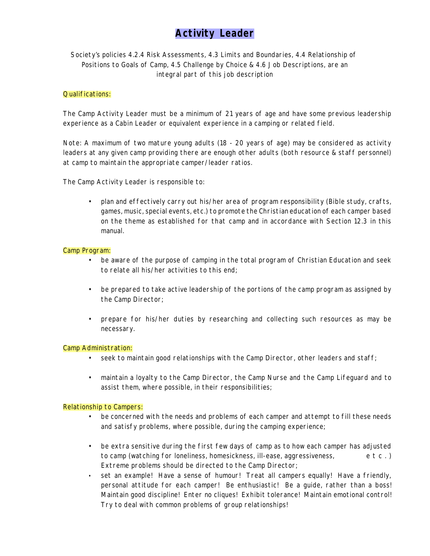# **Activity Leader**

# *Society's policies 4.2.4 Risk Assessments, 4.3 Limits and Boundaries, 4.4 Relationship of Positions to Goals of Camp, 4.5 Challenge by Choice & 4.6 Job Descriptions, are an integral part of this job description*

# *Qualifications:*

The Camp Activity Leader must be a minimum of 21 years of age and have some previous leadership experience as a Cabin Leader or equivalent experience in a camping or related field.

Note: A maximum of two mature young adults (18 - 20 years of age) may be considered as activity leaders at any given camp providing there are enough other adults (both resource & staff personnel) at camp to maintain the appropriate camper/leader ratios.

*The Camp Activity Leader is responsible to:*

• plan and effectively carry out his/her area of program responsibility (Bible study, crafts, games, music, special events, etc.) to promote the Christian education of each camper based on the theme as established for that camp and in accordance with *Section 12.3* in this manual.

# *Camp Program:*

- be aware of the purpose of camping in the total program of Christian Education and seek to relate all his/her activities to this end;
- be prepared to take active leadership of the portions of the camp program as assigned by the Camp Director;
- prepare for his/her duties by researching and collecting such resources as may be necessary.

### *Camp Administration:*

- seek to maintain good relationships with the Camp Director, other leaders and staff;
- maintain a loyalty to the Camp Director, the Camp Nurse and the Camp Lifeguard and to assist them, where possible, in their responsibilities;

### *Relationship to Campers:*

- *•* be concerned with the needs and problems of each camper and attempt to fill these needs and satisfy problems, where possible, during the camping experience;
- be extra sensitive during the first few days of camp as to how each camper has adjusted to camp (watching for loneliness, homesickness, ill-ease, aggressiveness, e t c . ) Extreme problems should be directed to the Camp Director;
- *•* set an example! Have a sense of humour! Treat all campers equally! Have a friendly, personal attitude for each camper! Be enthusiastic! Be a guide, rather than a boss! Maintain good discipline! Enter no cliques! Exhibit tolerance! Maintain emotional control! Try to deal with common problems of group relationships!